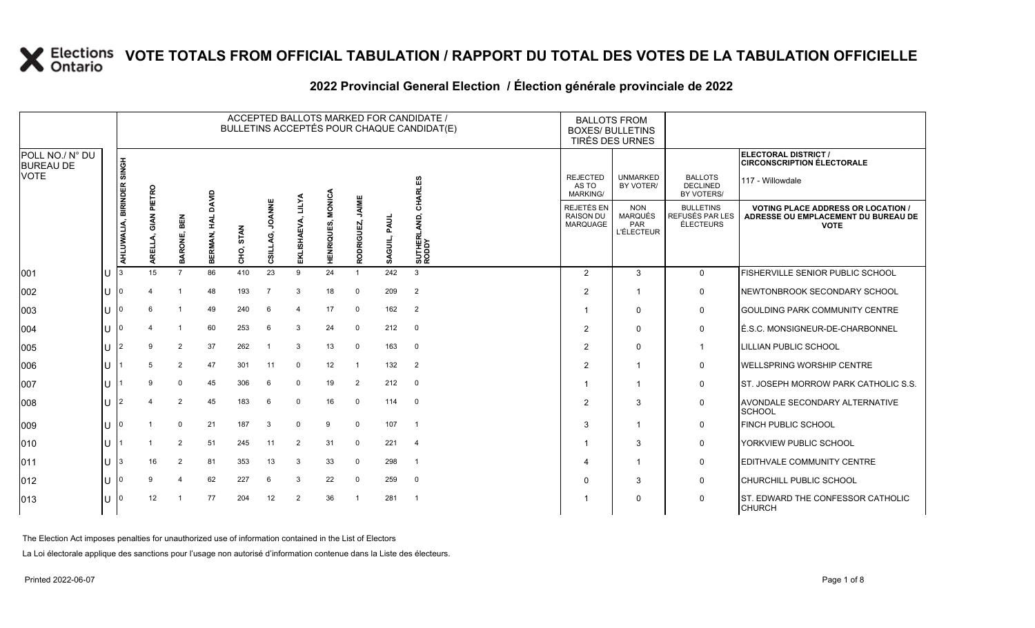|                                                    |     | ACCEPTED BALLOTS MARKED FOR CANDIDATE /<br>BULLETINS ACCEPTÉS POUR CHAQUE CANDIDAT(E) |        |                |                       |                     |                           |                             |                             |                     |                 |                         |  |                                                   | <b>BALLOTS FROM</b><br><b>BOXES/ BULLETINS</b><br>TIRÉS DES URNES |                                                  |                                                                                                 |  |
|----------------------------------------------------|-----|---------------------------------------------------------------------------------------|--------|----------------|-----------------------|---------------------|---------------------------|-----------------------------|-----------------------------|---------------------|-----------------|-------------------------|--|---------------------------------------------------|-------------------------------------------------------------------|--------------------------------------------------|-------------------------------------------------------------------------------------------------|--|
| POLL NO./ N° DU<br><b>BUREAU DE</b><br><b>VOTE</b> |     |                                                                                       |        |                |                       |                     |                           |                             |                             |                     |                 |                         |  |                                                   |                                                                   |                                                  | ELECTORAL DISTRICT /<br><b>CIRCONSCRIPTION ÉLECTORALE</b>                                       |  |
|                                                    |     | BIRINDER SINGH                                                                        | PIETRO |                |                       |                     |                           |                             |                             |                     |                 | CHARLES                 |  | <b>REJECTED</b><br>AS TO<br><b>MARKING/</b>       | <b>UNMARKED</b><br>BY VOTER/                                      | <b>BALLOTS</b><br><b>DECLINED</b><br>BY VOTERS/  | 117 - Willowdale                                                                                |  |
|                                                    |     | AHLUWALIA,                                                                            | 핉      | BEN<br>BARONE, | DAVID<br>죞<br>BERMAN, | <b>STAN</b><br>CНO, | <b>JOANNE</b><br>CSILLAG, | <b>LILYA</b><br>EKLISHAEVA, | <b>MONICA</b><br>HENRIQUES, | JAIME<br>RODRIGUEZ, | PAUL<br>SAGUIL, | SUTHERLAND,<br>RODDY    |  | REJETÉS EN<br><b>RAISON DU</b><br><b>MARQUAGE</b> | <b>NON</b><br>MARQUÉS<br>PAR<br><b>L'ÉLECTEUR</b>                 | <b>BULLETINS</b><br>REFUSÉS PAR LES<br>ÉLECTEURS | <b>VOTING PLACE ADDRESS OR LOCATION /</b><br>ADRESSE OU EMPLACEMENT DU BUREAU DE<br><b>VOTE</b> |  |
| 001                                                |     |                                                                                       | 15     | $\overline{7}$ | 86                    | 410                 | 23                        | 9                           | 24                          |                     | 242             | 3                       |  | 2                                                 | 3                                                                 | $\mathbf{0}$                                     | FISHERVILLE SENIOR PUBLIC SCHOOL                                                                |  |
| 002                                                |     |                                                                                       |        |                | 48                    | 193                 | $\overline{7}$            | 3                           | 18                          | $\Omega$            | 209             | $\overline{2}$          |  | $\overline{2}$                                    | 1                                                                 | 0                                                | NEWTONBROOK SECONDARY SCHOOL                                                                    |  |
| 003                                                | U   |                                                                                       | 6      | -1             | 49                    | 240                 | 6                         | 4                           | 17                          | 0                   | 162             | $\overline{2}$          |  |                                                   | $\mathbf{0}$                                                      | 0                                                | <b>GOULDING PARK COMMUNITY CENTRE</b>                                                           |  |
| 004                                                |     |                                                                                       |        |                | 60                    | 253                 | 6                         | 3                           | 24                          | 0                   | 212             | $\overline{\mathbf{0}}$ |  | $\overline{2}$                                    | $\mathbf{0}$                                                      | $\mathbf 0$                                      | É.S.C. MONSIGNEUR-DE-CHARBONNEL                                                                 |  |
| 005                                                |     |                                                                                       | 9      | $\overline{2}$ | 37                    | 262                 |                           | 3                           | 13                          | $\Omega$            | 163             | $\mathbf{0}$            |  | $\overline{2}$                                    | $\Omega$                                                          | $\mathbf{1}$                                     | LILLIAN PUBLIC SCHOOL                                                                           |  |
| 006                                                | lU. |                                                                                       | 5      | $\overline{2}$ | 47                    | 301                 | 11                        | $\mathbf 0$                 | 12                          | -1                  | 132             | $\overline{2}$          |  | $\overline{2}$                                    | -1                                                                | 0                                                | WELLSPRING WORSHIP CENTRE                                                                       |  |
| 007                                                | U   |                                                                                       | 9      | $\mathbf{0}$   | 45                    | 306                 | 6                         | $\Omega$                    | 19                          | 2                   | 212             | $\overline{\mathbf{0}}$ |  |                                                   | -1                                                                | 0                                                | ST. JOSEPH MORROW PARK CATHOLIC S.S.                                                            |  |
| 008                                                | U   | 12                                                                                    |        | $\overline{2}$ | 45                    | 183                 | 6                         | $\Omega$                    | 16                          | $\Omega$            | 114             | $\overline{\mathbf{0}}$ |  | $\overline{2}$                                    | 3                                                                 | 0                                                | AVONDALE SECONDARY ALTERNATIVE<br><b>SCHOOL</b>                                                 |  |
| 009                                                | U   |                                                                                       |        | $\Omega$       | 21                    | 187                 | 3                         | $\mathbf 0$                 | 9                           | $\Omega$            | 107             | $\overline{1}$          |  | 3                                                 | 1                                                                 | 0                                                | FINCH PUBLIC SCHOOL                                                                             |  |
| 010                                                | U   |                                                                                       |        | $\overline{2}$ | 51                    | 245                 | 11                        | 2                           | 31                          | $\Omega$            | 221             | $\overline{4}$          |  |                                                   | 3                                                                 | $\mathbf 0$                                      | YORKVIEW PUBLIC SCHOOL                                                                          |  |
| 011                                                | IU  | 13.                                                                                   | 16     | $\overline{2}$ | 81                    | 353                 | 13                        | 3                           | 33                          | 0                   | 298             | $\overline{1}$          |  | $\overline{4}$                                    | 1                                                                 | $\mathbf 0$                                      | EDITHVALE COMMUNITY CENTRE                                                                      |  |
| 012                                                |     |                                                                                       | 9      | 4              | 62                    | 227                 | 6                         | 3                           | 22                          | $\Omega$            | 259             | $\overline{0}$          |  | 0                                                 | 3                                                                 | 0                                                | CHURCHILL PUBLIC SCHOOL                                                                         |  |
| 013                                                |     |                                                                                       | 12     |                | 77                    | 204                 | 12                        | $\overline{2}$              | 36                          |                     | 281             | $\overline{1}$          |  |                                                   | 0                                                                 | $\mathbf 0$                                      | ST. EDWARD THE CONFESSOR CATHOLIC<br><b>CHURCH</b>                                              |  |

### **2022 Provincial General Election / Élection générale provinciale de 2022**

The Election Act imposes penalties for unauthorized use of information contained in the List of Electors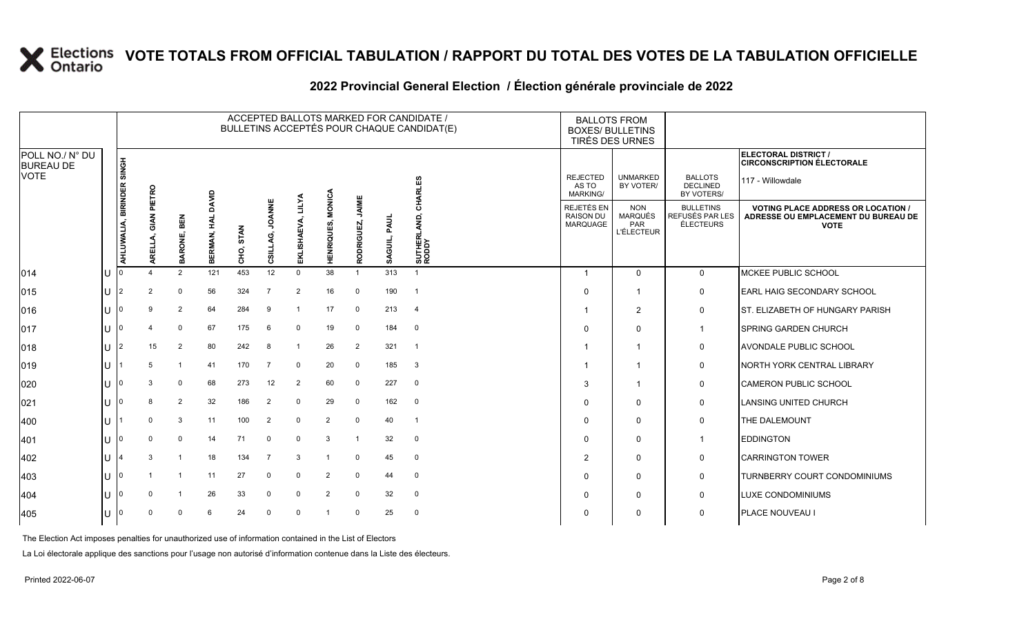|                                             |     | ACCEPTED BALLOTS MARKED FOR CANDIDATE /<br>BULLETINS ACCEPTÉS POUR CHAQUE CANDIDAT(E) |          |                |                     |           |                           |                             |                                    |                            |                 |                         |  |                                            | <b>BALLOTS FROM</b><br><b>BOXES/ BULLETINS</b><br>TIRÉS DES URNES |                                                         |                                                                                                 |
|---------------------------------------------|-----|---------------------------------------------------------------------------------------|----------|----------------|---------------------|-----------|---------------------------|-----------------------------|------------------------------------|----------------------------|-----------------|-------------------------|--|--------------------------------------------|-------------------------------------------------------------------|---------------------------------------------------------|-------------------------------------------------------------------------------------------------|
| POLL NO./ N° DU<br><b>BUREAU DE</b><br>VOTE |     | <b>H</b> SIK                                                                          |          |                |                     |           |                           |                             |                                    |                            |                 |                         |  |                                            |                                                                   |                                                         | ELECTORAL DISTRICT /<br><b>CIRCONSCRIPTION ÉLECTORALE</b>                                       |
|                                             |     |                                                                                       | PIETRO   |                | DAVID               |           |                           |                             |                                    |                            |                 | ທ<br>Ŵ.                 |  | <b>REJECTED</b><br>AS TO<br>MARKING/       | <b>UNMARKED</b><br>BY VOTER/                                      | <b>BALLOTS</b><br><b>DECLINED</b><br>BY VOTERS/         | 117 - Willowdale                                                                                |
|                                             |     | AHLUWALIA, BIRINDER                                                                   | ₹        | BEN<br>BARONE, | 칯<br><b>BERMAN,</b> | CHO, STAN | <b>JOANNE</b><br>CSILLAG, | <b>LILYA</b><br>EKLISHAEVA, | <b>MONICA</b><br><b>HENRIQUES,</b> | JAIME<br><b>RODRIGUEZ,</b> | PAUL<br>SAGUIL, | 줄<br>SUTHERI<br>RODDY   |  | REJETÉS EN<br><b>RAISON DU</b><br>MARQUAGE | <b>NON</b><br><b>MARQUÉS</b><br>PAR<br><b>L'ÉLECTEUR</b>          | <b>BULLETINS</b><br>REFUSÉS PAR LES<br><b>ÉLECTEURS</b> | <b>VOTING PLACE ADDRESS OR LOCATION /</b><br>ADRESSE OU EMPLACEMENT DU BUREAU DE<br><b>VOTE</b> |
| 014                                         | IU  |                                                                                       |          | 2              | 121                 | 453       | 12                        | $\Omega$                    | 38                                 | $\mathbf{1}$               | 313             | $\overline{1}$          |  | $\mathbf{1}$                               | $\Omega$                                                          | $\mathbf{0}$                                            | MCKEE PUBLIC SCHOOL                                                                             |
| 015                                         | IU  | I2                                                                                    | 2        | $\mathbf 0$    | 56                  | 324       | $\overline{7}$            | 2                           | 16                                 | 0                          | 190             | $\overline{1}$          |  | $\Omega$                                   | $\overline{\mathbf{1}}$                                           | 0                                                       | <b>EARL HAIG SECONDARY SCHOOL</b>                                                               |
| 016                                         | IU  |                                                                                       | 9        | $\overline{2}$ | 64                  | 284       | 9                         |                             | 17                                 | 0                          | 213             | $\overline{4}$          |  | -1                                         | $\overline{2}$                                                    | 0                                                       | ST. ELIZABETH OF HUNGARY PARISH                                                                 |
| 017                                         | ΙU  |                                                                                       | 4        | $\mathbf 0$    | 67                  | 175       | 6                         | $\mathbf 0$                 | 19                                 | 0                          | 184             | $\overline{\mathbf{0}}$ |  | $\Omega$                                   | $\Omega$                                                          | $\mathbf{1}$                                            | <b>SPRING GARDEN CHURCH</b>                                                                     |
| 018                                         | IU  | I2                                                                                    | 15       | $\overline{2}$ | 80                  | 242       | 8                         | -1                          | 26                                 | 2                          | 321             | $\overline{1}$          |  | -1                                         | $\overline{\mathbf{1}}$                                           | 0                                                       | <b>AVONDALE PUBLIC SCHOOL</b>                                                                   |
| 019                                         | IU  |                                                                                       | 5        | $\mathbf{1}$   | 41                  | 170       | 7                         | $\mathbf 0$                 | 20                                 | 0                          | 185             | $\overline{\mathbf{3}}$ |  | -1                                         | $\overline{\mathbf{1}}$                                           | $\mathbf 0$                                             | NORTH YORK CENTRAL LIBRARY                                                                      |
| 020                                         | IU  |                                                                                       | 3        | 0              | 68                  | 273       | 12                        | 2                           | 60                                 | $\mathbf 0$                | 227             | $\overline{0}$          |  | 3                                          | $\overline{\mathbf{1}}$                                           | 0                                                       | <b>CAMERON PUBLIC SCHOOL</b>                                                                    |
| 021                                         | IU  |                                                                                       | 8        | $\overline{2}$ | 32                  | 186       | 2                         | $\mathbf 0$                 | 29                                 | 0                          | 162             | $\overline{0}$          |  | $\Omega$                                   | $\Omega$                                                          | 0                                                       | LANSING UNITED CHURCH                                                                           |
| 400                                         | IU  |                                                                                       | $\Omega$ | 3              | 11                  | 100       | $\overline{2}$            | $\Omega$                    | $\overline{2}$                     | 0                          | 40              | $\overline{1}$          |  | $\Omega$                                   | $\mathbf 0$                                                       | 0                                                       | THE DALEMOUNT                                                                                   |
| 401                                         | IU  |                                                                                       | $\Omega$ | 0              | 14                  | 71        | $\mathbf 0$               | $\mathbf 0$                 | 3                                  | -1                         | 32              | $\overline{0}$          |  | $\Omega$                                   | $\Omega$                                                          | $\mathbf{1}$                                            | <b>EDDINGTON</b>                                                                                |
| 402                                         | IU  |                                                                                       | 3        | $\mathbf{1}$   | 18                  | 134       |                           | 3                           |                                    | 0                          | 45              | $\mathbf 0$             |  | 2                                          | $\mathbf 0$                                                       | 0                                                       | <b>CARRINGTON TOWER</b>                                                                         |
| 403                                         | IU  |                                                                                       |          | -1             | 11                  | 27        | $\mathbf 0$               | $\mathbf 0$                 | $\overline{2}$                     | $\Omega$                   | 44              | $\mathbf 0$             |  | $\mathbf{0}$                               | $\mathbf 0$                                                       | $\mathbf 0$                                             | <b>TURNBERRY COURT CONDOMINIUMS</b>                                                             |
| 404                                         | I U |                                                                                       | $\Omega$ | -1             | 26                  | 33        | $\mathbf 0$               | 0                           | $\overline{2}$                     | 0                          | 32              | $\overline{\mathbf{0}}$ |  | $\Omega$                                   | $\Omega$                                                          | 0                                                       | LUXE CONDOMINIUMS                                                                               |
| 405                                         | IU  |                                                                                       | $\Omega$ | $\mathbf 0$    | 6                   | 24        | $\mathbf 0$               | $\mathbf 0$                 |                                    | 0                          | 25              | $\mathbf 0$             |  | $\Omega$                                   | $\Omega$                                                          | 0                                                       | <b>PLACE NOUVEAU I</b>                                                                          |
|                                             |     |                                                                                       |          |                |                     |           |                           |                             |                                    |                            |                 |                         |  |                                            |                                                                   |                                                         |                                                                                                 |

#### **2022 Provincial General Election / Élection générale provinciale de 2022**

The Election Act imposes penalties for unauthorized use of information contained in the List of Electors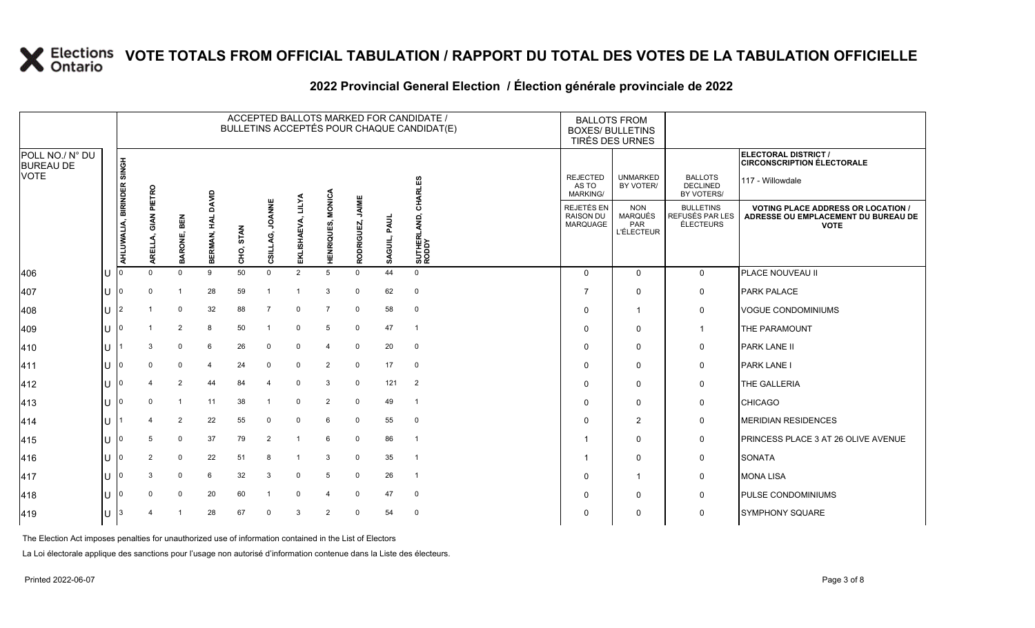|                                     |    |                     |          |                |                     |           |                           |                             |                   |                     |                 | ACCEPTED BALLOTS MARKED FOR CANDIDATE /<br>BULLETINS ACCEPTÉS POUR CHAQUE CANDIDAT(E) | <b>BALLOTS FROM</b><br><b>BOXES/ BULLETINS</b><br>TIRÉS DES URNES |                                                          |                                                         |                                                                                                 |
|-------------------------------------|----|---------------------|----------|----------------|---------------------|-----------|---------------------------|-----------------------------|-------------------|---------------------|-----------------|---------------------------------------------------------------------------------------|-------------------------------------------------------------------|----------------------------------------------------------|---------------------------------------------------------|-------------------------------------------------------------------------------------------------|
| POLL NO./ N° DU<br><b>BUREAU DE</b> |    | <b>HONIS</b>        |          |                |                     |           |                           |                             |                   |                     |                 |                                                                                       |                                                                   |                                                          |                                                         | ELECTORAL DISTRICT /<br><b>CIRCONSCRIPTION ÉLECTORALE</b>                                       |
| VOTE                                |    |                     | PIETRO   |                | DAVID               |           |                           |                             |                   |                     |                 | ഗ<br>ш                                                                                | <b>REJECTED</b><br>AS TO<br>MARKING/                              | <b>UNMARKED</b><br>BY VOTER/                             | <b>BALLOTS</b><br><b>DECLINED</b><br>BY VOTERS/         | 117 - Willowdale                                                                                |
|                                     |    | AHLUWALIA, BIRINDER | ₹<br>핉   | BEN<br>BARONE, | 킻<br><b>BERMAN,</b> | CHO, STAN | <b>JOANNE</b><br>CSILLAG, | <b>LILYA</b><br>EKLISHAEVA, | HENRIQUES, MONICA | JAIME<br>RODRIGUEZ, | PAUL<br>SAGUIL, | ਨ<br>SUTHERI<br>RODDY                                                                 | REJETÉS EN<br><b>RAISON DU</b><br>MARQUAGE                        | <b>NON</b><br><b>MARQUÉS</b><br>PAR<br><b>L'ÉLECTEUR</b> | <b>BULLETINS</b><br>REFUSÉS PAR LES<br><b>ÉLECTEURS</b> | <b>VOTING PLACE ADDRESS OR LOCATION /</b><br>ADRESSE OU EMPLACEMENT DU BUREAU DE<br><b>VOTE</b> |
| 406                                 | Iυ |                     | $\Omega$ | $\Omega$       | 9                   | 50        | $\mathbf 0$               | 2                           | 5                 | $\Omega$            | 44              | $\Omega$                                                                              | $\Omega$                                                          | $\Omega$                                                 | $\mathbf{0}$                                            | PLACE NOUVEAU II                                                                                |
| 407                                 | IU | 10                  | $\Omega$ | -1             | 28                  | 59        |                           | -1                          | 3                 | 0                   | 62              | $\mathbf 0$                                                                           | 7                                                                 | $\Omega$                                                 | 0                                                       | <b>PARK PALACE</b>                                                                              |
| 408                                 | ΙU |                     |          | 0              | 32                  | 88        | $\overline{7}$            | 0                           | $\overline{7}$    | 0                   | 58              | $\mathbf 0$                                                                           | $\mathbf{0}$                                                      | $\overline{\mathbf{1}}$                                  | 0                                                       | <b>VOGUE CONDOMINIUMS</b>                                                                       |
| 409                                 | IU |                     |          | $\overline{2}$ | 8                   | 50        |                           | $\mathbf 0$                 | 5                 | $\mathbf 0$         | 47              | $\overline{1}$                                                                        | $\mathbf{0}$                                                      | $\Omega$                                                 | $\mathbf{1}$                                            | THE PARAMOUNT                                                                                   |
| 410                                 | IU |                     | 3        | $\mathbf 0$    | 6                   | 26        | $\mathbf 0$               | $\mathbf 0$                 | 4                 | $\mathbf 0$         | 20              | $\overline{0}$                                                                        | $\mathbf{0}$                                                      | $\Omega$                                                 | 0                                                       | <b>PARK LANE II</b>                                                                             |
| 411                                 | IU |                     | $\Omega$ | $\mathbf 0$    | 4                   | 24        | $\mathbf 0$               | $\Omega$                    | $\overline{2}$    | 0                   | 17              | $\mathbf 0$                                                                           | $\Omega$                                                          | $\mathbf 0$                                              | 0                                                       | <b>PARK LANE I</b>                                                                              |
| 412                                 | IU |                     | 4        | $\overline{2}$ | 44                  | 84        | Δ                         | $\Omega$                    | 3                 | $\Omega$            | 121             | $\overline{2}$                                                                        | $\mathbf{0}$                                                      | $\mathbf 0$                                              | 0                                                       | THE GALLERIA                                                                                    |
| 413                                 | IU |                     | 0        | $\mathbf{1}$   | 11                  | 38        |                           | $\mathbf 0$                 | $\overline{2}$    | $\mathbf 0$         | 49              | $\overline{1}$                                                                        | $\mathbf{0}$                                                      | $\mathbf 0$                                              | 0                                                       | <b>CHICAGO</b>                                                                                  |
| 414                                 | IU |                     |          | 2              | 22                  | 55        | $\mathbf 0$               | $\Omega$                    | 6                 | $\Omega$            | 55              | $\mathbf 0$                                                                           | $\Omega$                                                          | $\overline{2}$                                           | 0                                                       | <b>MERIDIAN RESIDENCES</b>                                                                      |
| 415                                 | IU |                     | 5        | $\mathbf{0}$   | 37                  | 79        | 2                         |                             | 6                 | $\Omega$            | 86              | $\overline{1}$                                                                        |                                                                   | $\Omega$                                                 | 0                                                       | PRINCESS PLACE 3 AT 26 OLIVE AVENUE                                                             |
| 416                                 | Iυ |                     | 2        | $\mathbf 0$    | 22                  | 51        | 8                         | $\overline{1}$              | 3                 | 0                   | 35              | $\overline{1}$                                                                        | -1                                                                | $\Omega$                                                 | 0                                                       | <b>SONATA</b>                                                                                   |
| 417                                 | IU |                     | 3        | $\mathbf 0$    | 6                   | 32        | 3                         | $\mathbf 0$                 | 5                 | $\mathbf 0$         | 26              | $\overline{1}$                                                                        | $\mathbf{0}$                                                      | $\overline{1}$                                           | $\mathbf 0$                                             | <b>MONA LISA</b>                                                                                |
| 418                                 | IU |                     | $\Omega$ | 0              | 20                  | 60        |                           | 0                           | $\overline{4}$    | 0                   | 47              | $\overline{\mathbf{0}}$                                                               | $\Omega$                                                          | $\Omega$                                                 | 0                                                       | <b>PULSE CONDOMINIUMS</b>                                                                       |
| 419                                 | ΙU | 13                  | 4        | -1             | 28                  | 67        | $\mathbf 0$               | 3                           | 2                 | $\Omega$            | 54              | $\overline{0}$                                                                        | $\Omega$                                                          | $\mathbf 0$                                              | 0                                                       | <b>SYMPHONY SQUARE</b>                                                                          |
|                                     |    |                     |          |                |                     |           |                           |                             |                   |                     |                 |                                                                                       |                                                                   |                                                          |                                                         |                                                                                                 |

#### **2022 Provincial General Election / Élection générale provinciale de 2022**

The Election Act imposes penalties for unauthorized use of information contained in the List of Electors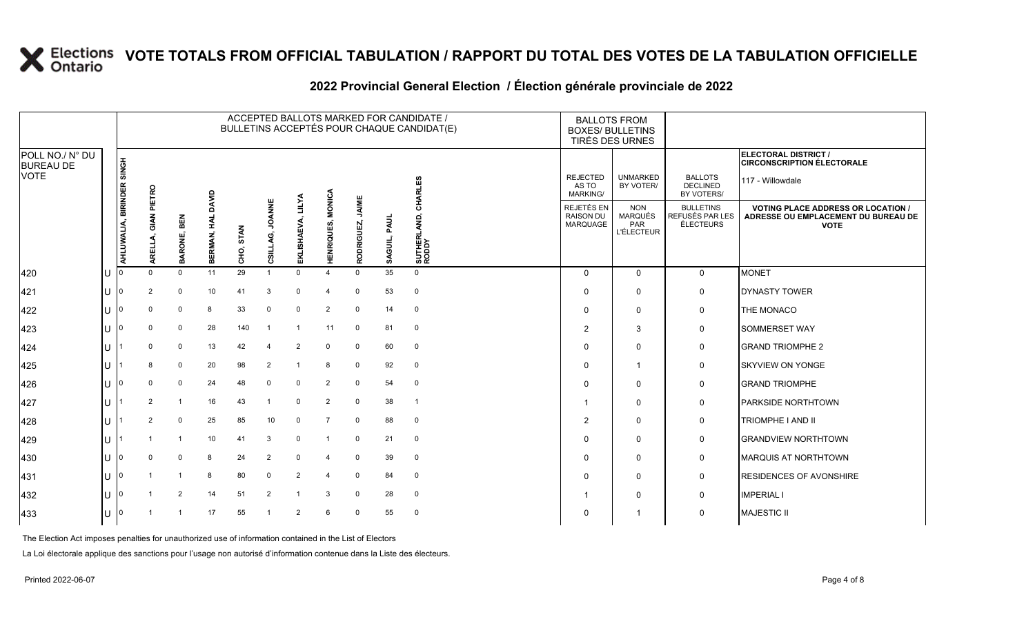|                                     | ACCEPTED BALLOTS MARKED FOR CANDIDATE /<br>BULLETINS ACCEPTÉS POUR CHAQUE CANDIDAT(E) |                     |                |                |                     |           |                           |                             |                   |                     |                 |                          |  | <b>BALLOTS FROM</b><br><b>BOXES/ BULLETINS</b><br>TIRÉS DES URNES |                                                          |                                                         |                                                                                                 |
|-------------------------------------|---------------------------------------------------------------------------------------|---------------------|----------------|----------------|---------------------|-----------|---------------------------|-----------------------------|-------------------|---------------------|-----------------|--------------------------|--|-------------------------------------------------------------------|----------------------------------------------------------|---------------------------------------------------------|-------------------------------------------------------------------------------------------------|
| POLL NO./ N° DU<br><b>BUREAU DE</b> |                                                                                       | <b>HONG</b>         |                |                |                     |           |                           |                             |                   |                     |                 |                          |  |                                                                   |                                                          |                                                         | ELECTORAL DISTRICT /<br><b>CIRCONSCRIPTION ÉLECTORALE</b>                                       |
| <b>VOTE</b>                         |                                                                                       |                     | PIETRO         |                | DAVID               |           |                           |                             |                   |                     |                 | CHARLES                  |  | <b>REJECTED</b><br>AS TO<br><b>MARKING/</b>                       | <b>UNMARKED</b><br>BY VOTER/                             | <b>BALLOTS</b><br><b>DECLINED</b><br>BY VOTERS/         | 117 - Willowdale                                                                                |
|                                     |                                                                                       | AHLUWALIA, BIRINDER | ζ<br>핉         | BEN<br>BARONE, | 킻<br><b>BERMAN,</b> | CHO, STAN | <b>JOANNE</b><br>CSILLAG, | <b>LILYA</b><br>EKLISHAEVA, | HENRIQUES, MONICA | JAIME<br>RODRIGUEZ, | PAUL<br>SAGUIL, | ℥<br>SUTHERL<br>RODDY    |  | REJETÉS EN<br><b>RAISON DU</b><br>MARQUAGE                        | <b>NON</b><br>MARQUÉS<br><b>PAR</b><br><b>L'ÉLECTEUR</b> | <b>BULLETINS</b><br>REFUSÉS PAR LES<br><b>ÉLECTEURS</b> | <b>VOTING PLACE ADDRESS OR LOCATION /</b><br>ADRESSE OU EMPLACEMENT DU BUREAU DE<br><b>VOTE</b> |
| 420                                 | IU                                                                                    |                     | $\Omega$       | $\Omega$       | 11                  | 29        | $\overline{1}$            | $\Omega$                    | $\Delta$          | $\Omega$            | 35              | $\mathbf{0}$             |  | $\Omega$                                                          | $\mathbf 0$                                              | $\mathbf 0$                                             | <b>MONET</b>                                                                                    |
| 421                                 | IU                                                                                    | 10                  | $\overline{2}$ | $\mathbf 0$    | 10                  | 41        | 3                         | $\mathbf 0$                 | $\overline{4}$    | $\mathbf 0$         | 53              | $\mathbf 0$              |  | $\Omega$                                                          | $\mathbf 0$                                              | 0                                                       | <b>DYNASTY TOWER</b>                                                                            |
| 422                                 | IU                                                                                    |                     | $\Omega$       | $\mathbf 0$    | 8                   | 33        | $\mathbf 0$               | $\mathbf 0$                 | 2                 | 0                   | 14              | $\mathbf 0$              |  | $\Omega$                                                          | 0                                                        | 0                                                       | THE MONACO                                                                                      |
| 423                                 | IU                                                                                    |                     | $\mathbf 0$    | $\mathbf 0$    | 28                  | 140       | $\overline{1}$            | $\overline{1}$              | 11                | 0                   | 81              | $\overline{0}$           |  | $\mathcal{P}$                                                     | 3                                                        | 0                                                       | <b>SOMMERSET WAY</b>                                                                            |
| 424                                 | IU.                                                                                   |                     | $\mathbf 0$    | $\mathbf 0$    | 13                  | 42        | 4                         | $\overline{2}$              | 0                 | 0                   | 60              | $\mathbf 0$              |  | $\Omega$                                                          | 0                                                        | 0                                                       | <b>GRAND TRIOMPHE 2</b>                                                                         |
| 425                                 | IU                                                                                    |                     | 8              | $\mathbf 0$    | 20                  | 98        | 2                         |                             | 8                 | 0                   | 92              | $\mathbf 0$              |  | $\Omega$                                                          | $\overline{1}$                                           | 0                                                       | <b>SKYVIEW ON YONGE</b>                                                                         |
| 426                                 | IU                                                                                    |                     | $\mathbf 0$    | $\mathbf 0$    | 24                  | 48        | $\mathbf 0$               | $\mathbf 0$                 | 2                 | $\Omega$            | 54              | $\mathbf 0$              |  | $\Omega$                                                          | $\mathbf 0$                                              | 0                                                       | <b>GRAND TRIOMPHE</b>                                                                           |
| 427                                 | IU                                                                                    |                     | 2              | 1              | 16                  | 43        | -1                        | $\mathbf 0$                 | 2                 | 0                   | 38              | $\overline{\phantom{0}}$ |  |                                                                   | 0                                                        | 0                                                       | <b>PARKSIDE NORTHTOWN</b>                                                                       |
| 428                                 | IU                                                                                    |                     | 2              | 0              | 25                  | 85        | 10                        | $\mathbf 0$                 | $\overline{7}$    | 0                   | 88              | $\mathbf 0$              |  | $\overline{2}$                                                    | $\mathbf 0$                                              | 0                                                       | <b>TRIOMPHE I AND II</b>                                                                        |
| 429                                 | IU                                                                                    |                     |                | $\mathbf{1}$   | 10                  | 41        | 3                         | $\mathbf 0$                 |                   | $\Omega$            | 21              | $\mathbf 0$              |  | $\Omega$                                                          | $\mathbf 0$                                              | 0                                                       | <b>GRANDVIEW NORTHTOWN</b>                                                                      |
| 430                                 | IU                                                                                    |                     | $\Omega$       | $\mathbf 0$    | 8                   | 24        | 2                         | $\mathbf 0$                 | $\overline{4}$    | 0                   | 39              | $\mathbf 0$              |  | $\Omega$                                                          | $\mathbf 0$                                              | 0                                                       | <b>MARQUIS AT NORTHTOWN</b>                                                                     |
| 431                                 | IU                                                                                    |                     |                | $\mathbf{1}$   | 8                   | 80        | $\mathbf 0$               | $\overline{2}$              | $\overline{4}$    | 0                   | 84              | $\mathbf 0$              |  | $\Omega$                                                          | $\mathbf 0$                                              | $\mathbf 0$                                             | <b>RESIDENCES OF AVONSHIRE</b>                                                                  |
| 432                                 | 1 U                                                                                   |                     |                | $\overline{2}$ | 14                  | 51        | $\overline{2}$            |                             | 3                 | $\Omega$            | 28              | $\mathbf 0$              |  |                                                                   | $\mathbf 0$                                              | 0                                                       | <b>IMPERIAL I</b>                                                                               |
| 433                                 | IU                                                                                    | 10                  |                | -1             | 17                  | 55        | -1                        | 2                           | 6                 | 0                   | 55              | $\overline{0}$           |  | $\Omega$                                                          | $\overline{1}$                                           | 0                                                       | <b>MAJESTIC II</b>                                                                              |
|                                     |                                                                                       |                     |                |                |                     |           |                           |                             |                   |                     |                 |                          |  |                                                                   |                                                          |                                                         |                                                                                                 |

#### **2022 Provincial General Election / Élection générale provinciale de 2022**

The Election Act imposes penalties for unauthorized use of information contained in the List of Electors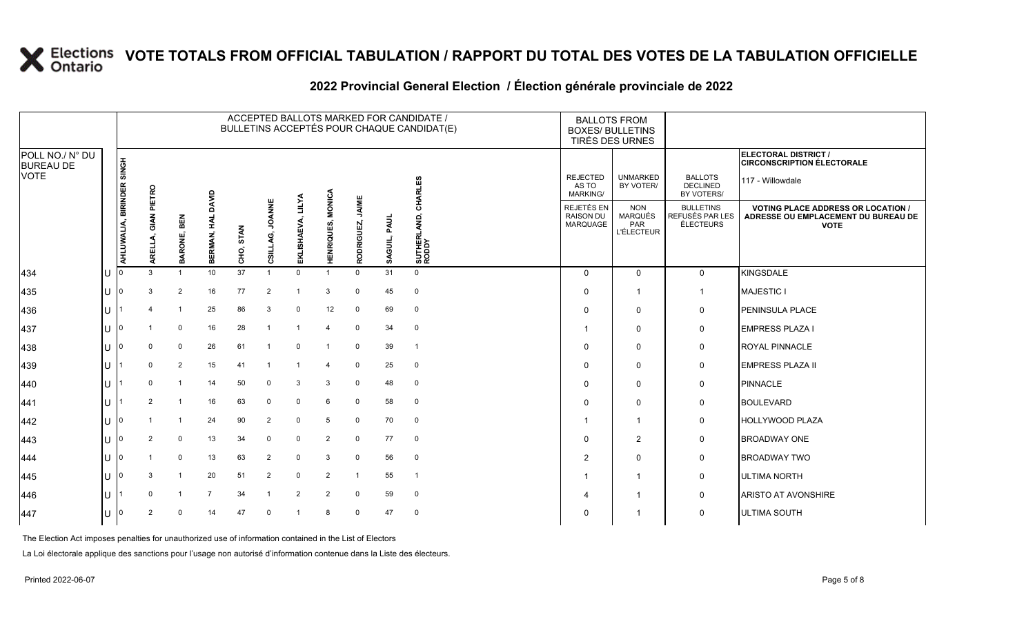|                                     |     |                           |                |                |                       |           |                 |                      |                          |                     |              | ACCEPTED BALLOTS MARKED FOR CANDIDATE /<br>BULLETINS ACCEPTÉS POUR CHAQUE CANDIDAT(E) | <b>BALLOTS FROM</b><br><b>BOXES/ BULLETINS</b><br>TIRÉS DES URNES |                                                          |                                                  |                                                                                                 |
|-------------------------------------|-----|---------------------------|----------------|----------------|-----------------------|-----------|-----------------|----------------------|--------------------------|---------------------|--------------|---------------------------------------------------------------------------------------|-------------------------------------------------------------------|----------------------------------------------------------|--------------------------------------------------|-------------------------------------------------------------------------------------------------|
| POLL NO./ N° DU<br><b>BUREAU DE</b> |     |                           |                |                |                       |           |                 |                      |                          |                     |              |                                                                                       |                                                                   |                                                          |                                                  | ELECTORAL DISTRICT /<br><b>CIRCONSCRIPTION ÉLECTORALE</b>                                       |
| <b>VOTE</b>                         |     |                           | PIETRO         |                | DAVID                 |           |                 |                      |                          |                     |              | CHARLES                                                                               | <b>REJECTED</b><br>AS TO<br>MARKING/                              | <b>UNMARKED</b><br>BY VOTER/                             | <b>BALLOTS</b><br><b>DECLINED</b><br>BY VOTERS/  | 117 - Willowdale                                                                                |
|                                     |     | AHLUWALIA, BIRINDER SINGH | AREI           | BARONE, BEN    | HAL<br><b>BERMAN,</b> | CHO, STAN | CSILLAG, JOANNE | LILYA<br>EKLISHAEVA, | <b>HENRIQUES, MONICA</b> | JAIME<br>RODRIGUEZ, | SAGUIL, PAUL | SUTHERLAND, (<br>RODDY                                                                | REJETÉS EN<br><b>RAISON DU</b><br>MARQUAGE                        | <b>NON</b><br><b>MARQUÉS</b><br>PAR<br><b>L'ÉLECTEUR</b> | <b>BULLETINS</b><br>REFUSÉS PAR LES<br>ÉLECTEURS | <b>VOTING PLACE ADDRESS OR LOCATION /</b><br>ADRESSE OU EMPLACEMENT DU BUREAU DE<br><b>VOTE</b> |
| 434                                 | IU  |                           | 3              |                | 10 <sup>°</sup>       | 37        |                 | $\Omega$             |                          | $\Omega$            | 31           | $\mathbf{0}$                                                                          | $\Omega$                                                          | $\mathbf 0$                                              | $\mathbf 0$                                      | <b>KINGSDALE</b>                                                                                |
| 435                                 | IU  | ı٥                        | 3              | $\overline{2}$ | 16                    | 77        | 2               |                      | 3                        | $\mathbf 0$         | 45           | $\mathbf 0$                                                                           | 0                                                                 | $\overline{\mathbf{1}}$                                  | $\overline{1}$                                   | <b>MAJESTIC I</b>                                                                               |
| 436                                 | IU  |                           | $\overline{a}$ | $\overline{1}$ | 25                    | 86        | 3               | $\mathbf 0$          | 12                       | 0                   | 69           | $\mathbf{0}$                                                                          | $\Omega$                                                          | $\mathbf 0$                                              | $\mathbf 0$                                      | <b>PENINSULA PLACE</b>                                                                          |
| 437                                 | IU  |                           |                | $\mathbf 0$    | 16                    | 28        | $\overline{1}$  |                      | $\overline{4}$           | $\mathbf 0$         | 34           | $\mathbf{0}$                                                                          |                                                                   | $\mathbf 0$                                              | $\mathbf 0$                                      | <b>EMPRESS PLAZA I</b>                                                                          |
| 438                                 | IU  |                           | $\mathbf 0$    | $\mathbf 0$    | 26                    | 61        |                 | $\mathbf 0$          |                          | $\mathbf 0$         | 39           | $\overline{1}$                                                                        | $\Omega$                                                          | $\mathbf 0$                                              | 0                                                | <b>ROYAL PINNACLE</b>                                                                           |
| 439                                 | IU. |                           | $\Omega$       | $\overline{2}$ | 15                    | 41        |                 |                      |                          | $\mathbf 0$         | 25           | $\overline{0}$                                                                        | 0                                                                 | $\mathbf 0$                                              | $\mathbf 0$                                      | <b>EMPRESS PLAZA II</b>                                                                         |
| 440                                 | ΙU  |                           | $\mathbf 0$    | $\mathbf{1}$   | 14                    | 50        | $\mathbf 0$     | 3                    | 3                        | $\mathbf 0$         | 48           | $\mathbf 0$                                                                           | $\Omega$                                                          | $\Omega$                                                 | $\mathbf 0$                                      | PINNACLE                                                                                        |
| 441                                 | IU  |                           | 2              | $\overline{1}$ | 16                    | 63        | $\mathbf 0$     | $\mathbf 0$          | 6                        | $\mathbf 0$         | 58           | $\mathbf 0$                                                                           | $\Omega$                                                          | $\mathbf 0$                                              | 0                                                | <b>BOULEVARD</b>                                                                                |
| 442                                 | IU. | 10                        |                | $\mathbf 1$    | 24                    | 90        | $\overline{2}$  | 0                    | 5                        | $\mathbf 0$         | 70           | $\overline{0}$                                                                        |                                                                   | $\overline{1}$                                           | $\mathbf 0$                                      | <b>HOLLYWOOD PLAZA</b>                                                                          |
| 443                                 | Ш   |                           | 2              | $\mathbf 0$    | 13                    | 34        | $\mathbf 0$     | $\mathbf 0$          | 2                        | $\mathbf 0$         | 77           | $\mathbf 0$                                                                           | $\Omega$                                                          | 2                                                        | $\mathbf 0$                                      | <b>BROADWAY ONE</b>                                                                             |
| 444                                 | IU  |                           |                | $\mathbf 0$    | 13                    | 63        | $\overline{2}$  | $\mathbf 0$          | 3                        | $\mathbf 0$         | 56           | $\mathbf 0$                                                                           | 2                                                                 | $\mathbf 0$                                              | $\mathbf 0$                                      | <b>BROADWAY TWO</b>                                                                             |
| 445                                 | IU  | ıη                        | 3              | $\overline{1}$ | 20                    | 51        | 2               | $\mathbf 0$          | 2                        | -1                  | 55           | $\overline{1}$                                                                        |                                                                   | $\overline{1}$                                           | $\mathbf 0$                                      | <b>ULTIMA NORTH</b>                                                                             |
| 446                                 | IU  |                           | $\Omega$       | $\mathbf{1}$   | 7                     | 34        | $\overline{1}$  | $\overline{2}$       | 2                        | $\mathbf 0$         | 59           | $\overline{0}$                                                                        | 4                                                                 | -1                                                       | $\mathbf 0$                                      | <b>ARISTO AT AVONSHIRE</b>                                                                      |
| 447                                 | IU  |                           | 2              | $\Omega$       | 14                    | 47        | $\Omega$        |                      | 8                        | $\mathbf 0$         | 47           | $\overline{0}$                                                                        | 0                                                                 |                                                          | $\mathbf 0$                                      | <b>ULTIMA SOUTH</b>                                                                             |
|                                     |     |                           |                |                |                       |           |                 |                      |                          |                     |              |                                                                                       |                                                                   |                                                          |                                                  |                                                                                                 |

#### **2022 Provincial General Election / Élection générale provinciale de 2022**

The Election Act imposes penalties for unauthorized use of information contained in the List of Electors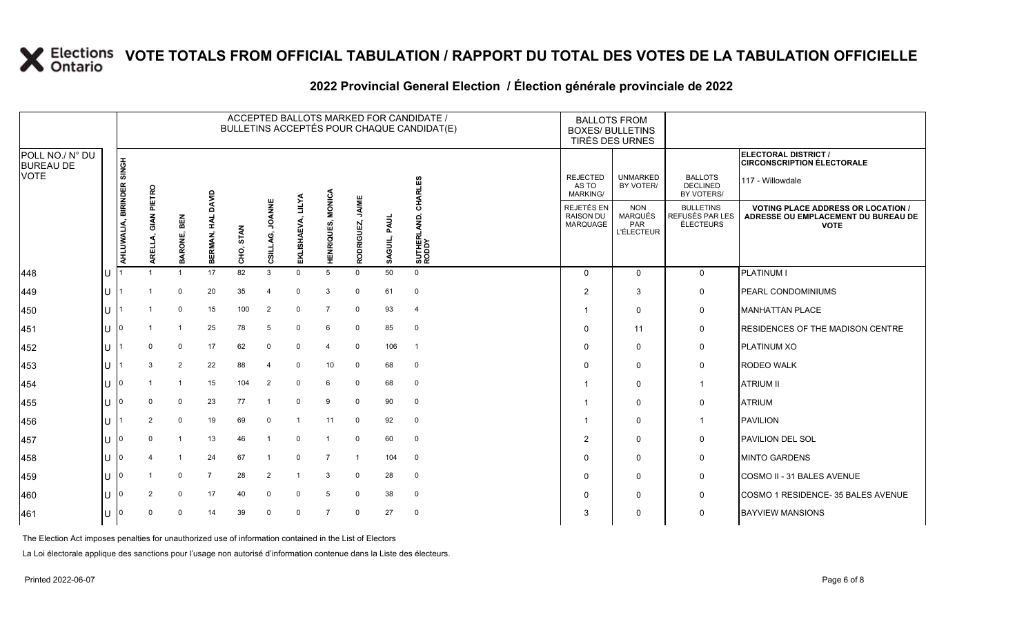|                                     |     |                           |                |                         |                |           |                           |                             |                          |                     |                 | ACCEPTED BALLOTS MARKED FOR CANDIDATE /<br>BULLETINS ACCEPTÉS POUR CHAQUE CANDIDAT(E) | <b>BALLOTS FROM</b><br><b>BOXES/ BULLETINS</b><br>TIRÉS DES URNES |                                                                 |                                                         |                                                                                                 |
|-------------------------------------|-----|---------------------------|----------------|-------------------------|----------------|-----------|---------------------------|-----------------------------|--------------------------|---------------------|-----------------|---------------------------------------------------------------------------------------|-------------------------------------------------------------------|-----------------------------------------------------------------|---------------------------------------------------------|-------------------------------------------------------------------------------------------------|
| POLL NO./ N° DU<br><b>BUREAU DE</b> |     |                           |                |                         |                |           |                           |                             |                          |                     |                 |                                                                                       |                                                                   |                                                                 |                                                         | ELECTORAL DISTRICT /<br><b>CIRCONSCRIPTION ÉLECTORALE</b>                                       |
| <b>VOTE</b>                         |     |                           | PIETRO         |                         | DAVID          |           |                           |                             |                          |                     |                 | CHARLES                                                                               | <b>REJECTED</b><br>AS TO<br><b>MARKING/</b>                       | <b>UNMARKED</b><br>BY VOTER/                                    | <b>BALLOTS</b><br><b>DECLINED</b><br>BY VOTERS/         | 117 - Willowdale                                                                                |
|                                     |     | AHLUWALIA, BIRINDER SINGH | इ<br>핉         | BEN<br>BARONE,          | BERMAN, HAL    | CHO, STAN | <b>JOANNE</b><br>CSILLAG, | <b>LILYA</b><br>EKLISHAEVA, | <b>HENRIQUES, MONICA</b> | JAIME<br>RODRIGUEZ, | PAUL<br>SAGUIL, | SUTHERLAND, (<br>RODDY                                                                | <b>REJETÉS EN</b><br><b>RAISON DU</b><br><b>MARQUAGE</b>          | <b>NON</b><br><b>MARQUÉS</b><br><b>PAR</b><br><b>L'ÉLECTEUR</b> | <b>BULLETINS</b><br>REFUSÉS PAR LES<br><b>ÉLECTEURS</b> | <b>VOTING PLACE ADDRESS OR LOCATION /</b><br>ADRESSE OU EMPLACEMENT DU BUREAU DE<br><b>VOTE</b> |
| 448                                 | IU  |                           |                |                         | 17             | 82        | $\mathbf{3}$              | $\Omega$                    | 5                        | $\Omega$            | 50              | $\mathbf 0$                                                                           | $\Omega$                                                          | $\mathbf{0}$                                                    | $\mathbf 0$                                             | <b>PLATINUM I</b>                                                                               |
| 449                                 | IU  |                           |                | 0                       | 20             | 35        | $\overline{4}$            | $\Omega$                    | 3                        | $\Omega$            | 61              | $\mathbf 0$                                                                           | $\overline{2}$                                                    | 3                                                               | 0                                                       | PEARL CONDOMINIUMS                                                                              |
| 450                                 | IU. |                           |                | $\mathbf 0$             | 15             | 100       | $\overline{2}$            | $\mathbf 0$                 | $\overline{7}$           | $\Omega$            | 93              | $\overline{4}$                                                                        | -1                                                                | $\mathbf 0$                                                     | 0                                                       | MANHATTAN PLACE                                                                                 |
| 451                                 | IU  |                           |                | $\overline{1}$          | 25             | 78        | 5                         | $\mathbf 0$                 | 6                        | $\mathbf 0$         | 85              | $\mathbf 0$                                                                           | $\Omega$                                                          | 11                                                              | 0                                                       | <b>RESIDENCES OF THE MADISON CENTRE</b>                                                         |
| 452                                 | ΙU  |                           | $\Omega$       | $\mathbf 0$             | 17             | 62        | $\mathbf 0$               | 0                           | $\overline{4}$           | 0                   | 106             | $\overline{1}$                                                                        | $\Omega$                                                          | $\mathbf{0}$                                                    | 0                                                       | <b>PLATINUM XO</b>                                                                              |
| 453                                 | IU. |                           | 3              | 2                       | 22             | 88        |                           | $\mathbf 0$                 | 10                       | $\mathbf 0$         | 68              | $\overline{0}$                                                                        | $\Omega$                                                          | $\mathbf 0$                                                     | $\mathbf 0$                                             | <b>RODEO WALK</b>                                                                               |
| 454                                 | IU  |                           |                | $\overline{1}$          | 15             | 104       | $\overline{2}$            | $\Omega$                    | 6                        | $\mathbf 0$         | 68              | $\mathbf 0$                                                                           | -1                                                                | $\Omega$                                                        | $\overline{1}$                                          | <b>ATRIUM II</b>                                                                                |
| 455                                 | IU  |                           | $\Omega$       | 0                       | 23             | 77        |                           | $\mathbf 0$                 | 9                        | $\Omega$            | 90              | 0                                                                                     | -1                                                                | $\mathbf 0$                                                     | 0                                                       | <b>ATRIUM</b>                                                                                   |
| 456                                 | lU. |                           | $\overline{2}$ | $\mathbf 0$             | 19             | 69        | $\mathbf 0$               |                             | 11                       | 0                   | 92              | $\mathbf 0$                                                                           | - 1                                                               | $\mathbf 0$                                                     | $\mathbf 1$                                             | <b>PAVILION</b>                                                                                 |
| 457                                 |     |                           | $\Omega$       | $\overline{\mathbf{1}}$ | 13             | 46        |                           | $\mathbf 0$                 | $\overline{1}$           | $\mathbf 0$         | 60              | $\overline{0}$                                                                        | $\overline{2}$                                                    | $\Omega$                                                        | $\mathbf 0$                                             | <b>PAVILION DEL SOL</b>                                                                         |
| 458                                 | IU  |                           |                | -1                      | 24             | 67        |                           | $\mathbf 0$                 | $\overline{7}$           | -1                  | 104             | $\mathbf 0$                                                                           | $\Omega$                                                          | 0                                                               | 0                                                       | <b>IMINTO GARDENS</b>                                                                           |
| 459                                 | ΙU  | 10                        |                | 0                       | $\overline{7}$ | 28        | 2                         |                             | 3                        | 0                   | 28              | $\mathbf 0$                                                                           | $\Omega$                                                          | 0                                                               | 0                                                       | COSMO II - 31 BALES AVENUE                                                                      |
| 460                                 |     |                           | $\overline{2}$ | $\mathbf 0$             | 17             | 40        | $\mathbf 0$               | $\mathbf 0$                 | 5                        | $\mathbf 0$         | 38              | $\mathbf 0$                                                                           | $\Omega$                                                          | 0                                                               | $\mathbf 0$                                             | COSMO 1 RESIDENCE- 35 BALES AVENUE                                                              |
| 461                                 | IU  |                           | $\Omega$       | 0                       | 14             | 39        | $\mathbf 0$               | $\mathbf 0$                 | $\overline{7}$           | $\mathbf 0$         | 27              | $\mathbf 0$                                                                           | 3                                                                 | $\mathbf{0}$                                                    | $\mathbf 0$                                             | <b>BAYVIEW MANSIONS</b>                                                                         |
|                                     |     |                           |                |                         |                |           |                           |                             |                          |                     |                 |                                                                                       |                                                                   |                                                                 |                                                         |                                                                                                 |

### **2022 Provincial General Election / Élection générale provinciale de 2022**

The Election Act imposes penalties for unauthorized use of information contained in the List of Electors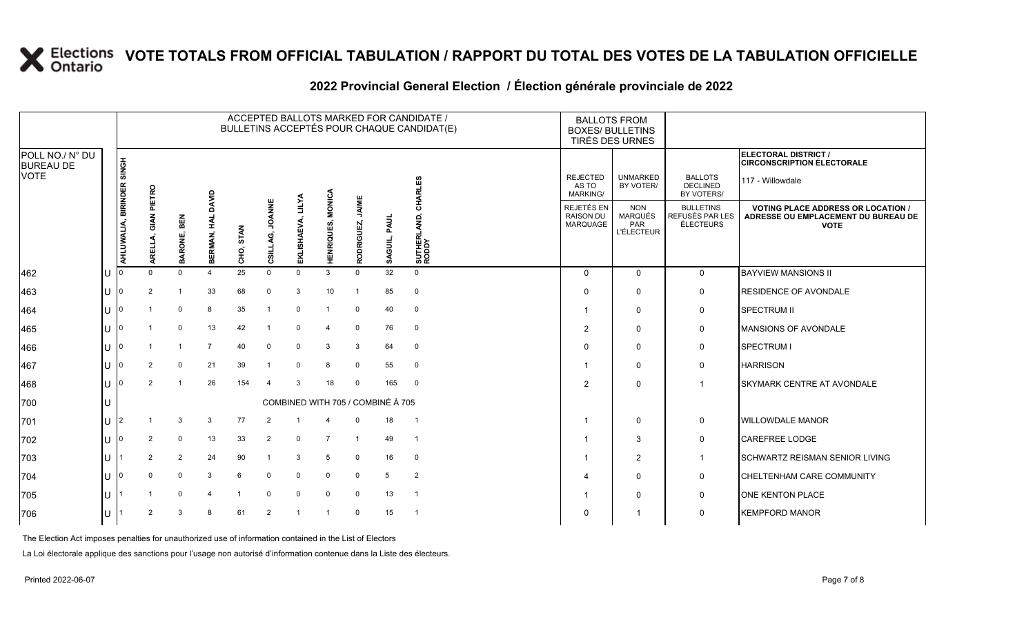|                                     |    |                     |                |                |                     |           |                           |                                   |                                    |                     |                 | ACCEPTED BALLOTS MARKED FOR CANDIDATE /<br>BULLETINS ACCEPTÉS POUR CHAQUE CANDIDAT(E) | <b>BALLOTS FROM</b><br><b>BOXES/ BULLETINS</b><br>TIRÉS DES URNES |                                                          |                                                         |                                                                                                 |
|-------------------------------------|----|---------------------|----------------|----------------|---------------------|-----------|---------------------------|-----------------------------------|------------------------------------|---------------------|-----------------|---------------------------------------------------------------------------------------|-------------------------------------------------------------------|----------------------------------------------------------|---------------------------------------------------------|-------------------------------------------------------------------------------------------------|
| POLL NO./ N° DU<br><b>BUREAU DE</b> |    | <b>HONIS</b>        |                |                |                     |           |                           |                                   |                                    |                     |                 |                                                                                       |                                                                   |                                                          |                                                         | ELECTORAL DISTRICT /<br><b>CIRCONSCRIPTION ÉLECTORALE</b>                                       |
| <b>VOTE</b>                         |    | AHLUWALIA, BIRINDER | PIETRO         |                | DAVID               |           |                           |                                   |                                    |                     |                 | <b>RLES</b>                                                                           | <b>REJECTED</b><br>AS TO<br><b>MARKING/</b>                       | <b>UNMARKED</b><br>BY VOTER/                             | <b>BALLOTS</b><br><b>DECLINED</b><br>BY VOTERS/         | 117 - Willowdale                                                                                |
|                                     | ш  |                     | z<br>핉         | BEN<br>BARONE, | 죞<br><b>BERMAN,</b> | CHO, STAN | <b>JOANNE</b><br>CSILLAG, | <b>LILYA</b><br>EKLISHAEVA,       | <b>MONICA</b><br><b>HENRIQUES,</b> | JAIME<br>RODRIGUEZ, | PAUL<br>SAGUIL, | 좋<br>SUTHERLAND,<br>RODDY                                                             | REJETÉS EN<br><b>RAISON DU</b><br>MARQUAGE                        | <b>NON</b><br><b>MARQUÉS</b><br>PAR<br><b>L'ÉLECTEUR</b> | <b>BULLETINS</b><br>REFUSÉS PAR LES<br><b>ÉLECTEURS</b> | <b>VOTING PLACE ADDRESS OR LOCATION /</b><br>ADRESSE OU EMPLACEMENT DU BUREAU DE<br><b>VOTE</b> |
| 462                                 |    |                     |                | $\Omega$       | $\overline{4}$      | 25        | $\mathbf 0$               | $\Omega$                          | 3                                  | $\Omega$            | 32              | $\mathbf 0$                                                                           | $\Omega$                                                          | $\Omega$                                                 | $\mathbf 0$                                             | <b>BAYVIEW MANSIONS II</b>                                                                      |
| 463                                 | IU |                     | 2              | -1             | 33                  | 68        | $\Omega$                  | 3                                 | 10                                 | -1                  | 85              | $\overline{0}$                                                                        | $\Omega$                                                          | 0                                                        | 0                                                       | <b>RESIDENCE OF AVONDALE</b>                                                                    |
| 464                                 | IU |                     |                | $\Omega$       | 8                   | 35        |                           | $\Omega$                          |                                    | 0                   | 40              | $\mathbf 0$                                                                           |                                                                   | $\mathbf 0$                                              | 0                                                       | <b>SPECTRUM II</b>                                                                              |
| 465                                 | IU |                     |                | 0              | 13                  | 42        |                           | $\mathbf 0$                       | $\overline{4}$                     | 0                   | 76              | $\mathbf 0$                                                                           | 2                                                                 | $\mathbf 0$                                              | 0                                                       | MANSIONS OF AVONDALE                                                                            |
| 466                                 | IU |                     |                | $\mathbf{1}$   | $\overline{7}$      | 40        | $\mathbf 0$               | $\mathbf 0$                       | 3                                  | 3                   | 64              | $\mathbf 0$                                                                           | $\Omega$                                                          | $\Omega$                                                 | 0                                                       | SPECTRUM I                                                                                      |
| 467                                 | IU |                     | $\overline{2}$ | $\mathbf 0$    | 21                  | 39        |                           | $\mathbf 0$                       | 8                                  | $\Omega$            | 55              | $\mathbf 0$                                                                           |                                                                   | $\mathbf 0$                                              | 0                                                       | <b>HARRISON</b>                                                                                 |
| 468                                 | IU |                     | 2              | -1             | 26                  | 154       | $\overline{a}$            | 3                                 | 18                                 | $\Omega$            | 165             | $\overline{0}$                                                                        | 2                                                                 | $\Omega$                                                 | -1                                                      | <b>SKYMARK CENTRE AT AVONDALE</b>                                                               |
| 700                                 | IU |                     |                |                |                     |           |                           | COMBINED WITH 705 / COMBINÉ À 705 |                                    |                     |                 |                                                                                       |                                                                   |                                                          |                                                         |                                                                                                 |
| 701                                 | IU | I2                  |                | 3              | 3                   | 77        | 2                         |                                   |                                    | 0                   | 18              | $\overline{1}$                                                                        |                                                                   | $\mathbf 0$                                              | 0                                                       | <b>WILLOWDALE MANOR</b>                                                                         |
| 702                                 | Ш  |                     | 2              | $\mathbf 0$    | 13                  | 33        | 2                         | $\mathbf 0$                       | $\overline{7}$                     | $\overline{1}$      | 49              | $\overline{1}$                                                                        |                                                                   | 3                                                        | 0                                                       | <b>CAREFREE LODGE</b>                                                                           |
| 703                                 | IU |                     | 2              | 2              | 24                  | 90        | -1                        | 3                                 | 5                                  | 0                   | 16              | $\mathbf 0$                                                                           |                                                                   | $\overline{2}$                                           | $\mathbf 1$                                             | <b>I</b> SCHWARTZ REISMAN SENIOR LIVING                                                         |
| 704                                 | IU |                     | $\Omega$       | $\mathbf 0$    | 3                   | 6         | $\mathbf 0$               | $\Omega$                          | $\mathbf{0}$                       | 0                   | 5               | $\overline{2}$                                                                        |                                                                   | $\mathbf 0$                                              | 0                                                       | <b>CHELTENHAM CARE COMMUNITY</b>                                                                |
| 705                                 | IU |                     |                | $\mathbf 0$    | $\overline{4}$      |           | $\mathbf 0$               | $\mathbf 0$                       | $\mathbf 0$                        | 0                   | 13              | $\overline{1}$                                                                        |                                                                   | $\mathbf 0$                                              | $\mathbf 0$                                             | <b>ONE KENTON PLACE</b>                                                                         |
| 706                                 | IU |                     | $\overline{2}$ | 3              | 8                   | 61        | 2                         |                                   |                                    | $\mathbf 0$         | 15              | - 1                                                                                   | $\Omega$                                                          | $\overline{1}$                                           | $\mathbf 0$                                             | <b>KEMPFORD MANOR</b>                                                                           |
|                                     |    |                     |                |                |                     |           |                           |                                   |                                    |                     |                 |                                                                                       |                                                                   |                                                          |                                                         |                                                                                                 |

### **2022 Provincial General Election / Élection générale provinciale de 2022**

The Election Act imposes penalties for unauthorized use of information contained in the List of Electors